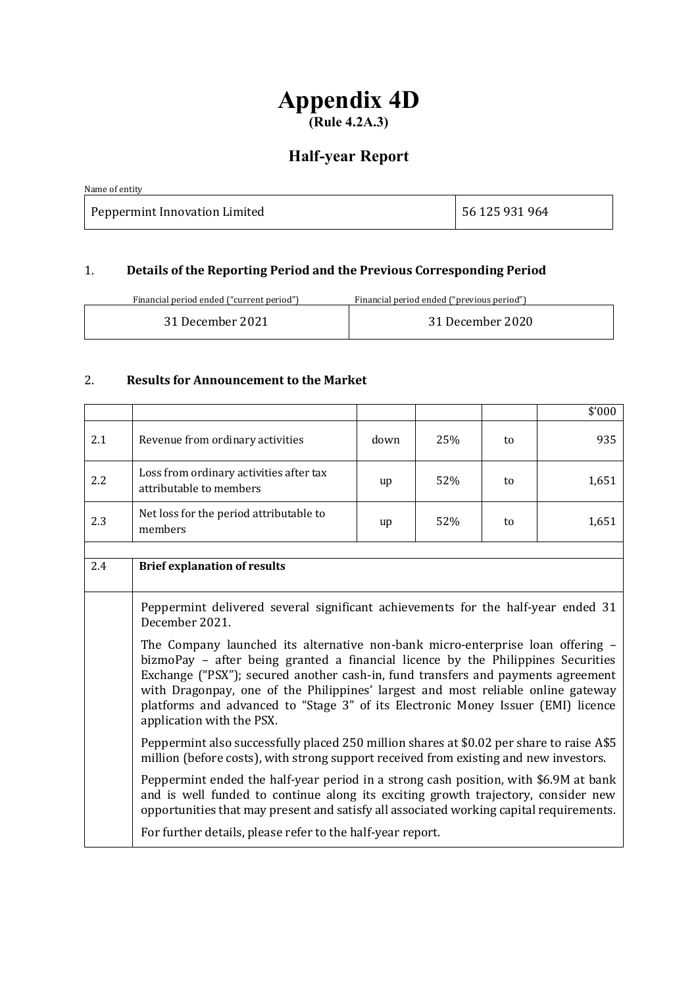# **Appendix 4D (Rule 4.2A.3)**

# **Half-year Report**

| Name of entity                |                |
|-------------------------------|----------------|
| Peppermint Innovation Limited | 56 125 931 964 |

# 1. **Details of the Reporting Period and the Previous Corresponding Period**

Financial period ended ("current period") Financial period ended ("previous period")

| 31 December 2021<br>31 December 2020 |
|--------------------------------------|
|--------------------------------------|

# 2. **Results for Announcement to the Market**

|     |                                                                                                                                                                                                                                                                                                                                                                                                                                                             |      |     |    | \$'000 |
|-----|-------------------------------------------------------------------------------------------------------------------------------------------------------------------------------------------------------------------------------------------------------------------------------------------------------------------------------------------------------------------------------------------------------------------------------------------------------------|------|-----|----|--------|
| 2.1 | Revenue from ordinary activities                                                                                                                                                                                                                                                                                                                                                                                                                            | down | 25% | to | 935    |
| 2.2 | Loss from ordinary activities after tax<br>attributable to members                                                                                                                                                                                                                                                                                                                                                                                          | up   | 52% | to | 1,651  |
| 2.3 | Net loss for the period attributable to<br>members                                                                                                                                                                                                                                                                                                                                                                                                          | up   | 52% | to | 1,651  |
|     |                                                                                                                                                                                                                                                                                                                                                                                                                                                             |      |     |    |        |
| 2.4 | <b>Brief explanation of results</b>                                                                                                                                                                                                                                                                                                                                                                                                                         |      |     |    |        |
|     | Peppermint delivered several significant achievements for the half-year ended 31<br>December 2021.                                                                                                                                                                                                                                                                                                                                                          |      |     |    |        |
|     | The Company launched its alternative non-bank micro-enterprise loan offering -<br>bizmoPay - after being granted a financial licence by the Philippines Securities<br>Exchange ("PSX"); secured another cash-in, fund transfers and payments agreement<br>with Dragonpay, one of the Philippines' largest and most reliable online gateway<br>platforms and advanced to "Stage 3" of its Electronic Money Issuer (EMI) licence<br>application with the PSX. |      |     |    |        |
|     | Peppermint also successfully placed 250 million shares at \$0.02 per share to raise A\$5<br>million (before costs), with strong support received from existing and new investors.                                                                                                                                                                                                                                                                           |      |     |    |        |
|     | Peppermint ended the half-year period in a strong cash position, with \$6.9M at bank<br>and is well funded to continue along its exciting growth trajectory, consider new<br>opportunities that may present and satisfy all associated working capital requirements.                                                                                                                                                                                        |      |     |    |        |
|     | For further details, please refer to the half-year report.                                                                                                                                                                                                                                                                                                                                                                                                  |      |     |    |        |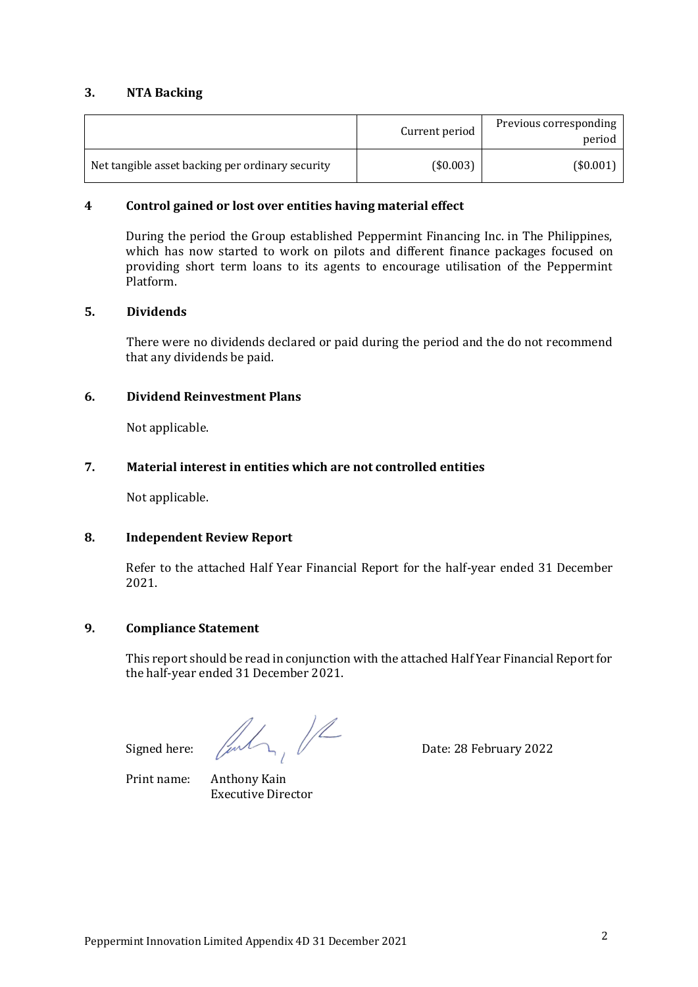### **3. NTA Backing**

|                                                  | Current period | Previous corresponding<br>period |
|--------------------------------------------------|----------------|----------------------------------|
| Net tangible asset backing per ordinary security | (\$0.003)      | $($ \$0.001)                     |

### **4 Control gained or lost over entities having material effect**

During the period the Group established Peppermint Financing Inc. in The Philippines, which has now started to work on pilots and different finance packages focused on providing short term loans to its agents to encourage utilisation of the Peppermint Platform.

#### **5. Dividends**

There were no dividends declared or paid during the period and the do not recommend that any dividends be paid.

### **6. Dividend Reinvestment Plans**

Not applicable.

#### **7. Material interest in entities which are not controlled entities**

Not applicable.

#### **8. Independent Review Report**

Refer to the attached Half Year Financial Report for the half-year ended 31 December 2021.

### **9. Compliance Statement**

This report should be read in conjunction with the attached Half Year Financial Report for the half-year ended 31 December 2021.

Signed here:  $\sqrt{\frac{1}{2}}$  Date: 28 February 2022

Print name: Anthony Kain Executive Director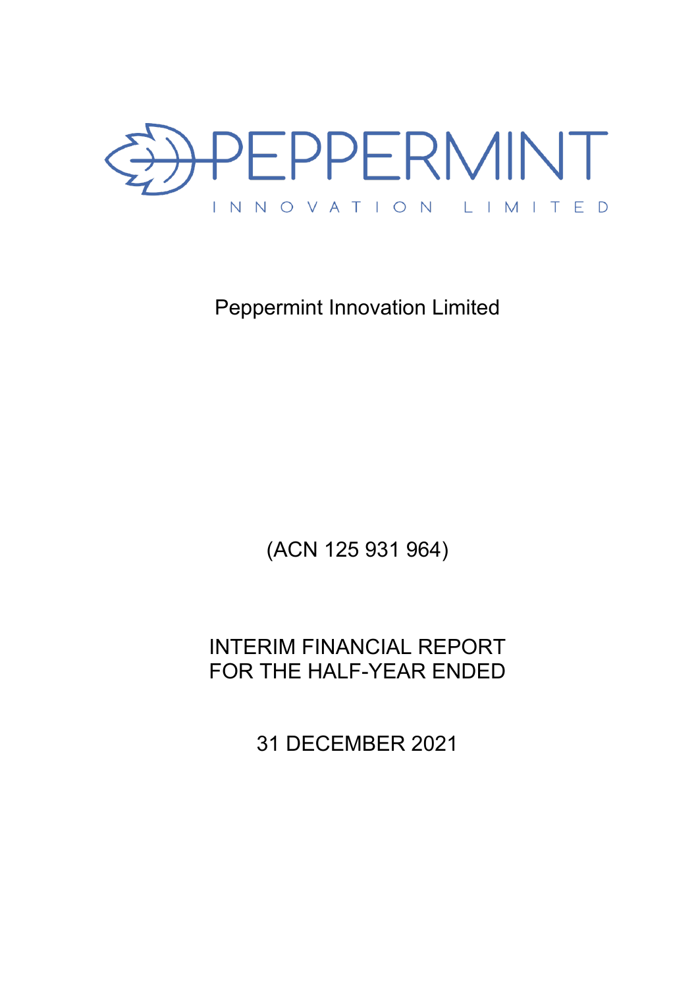

Peppermint Innovation Limited

(ACN 125 931 964)

INTERIM FINANCIAL REPORT FOR THE HALF-YEAR ENDED

31 DECEMBER 2021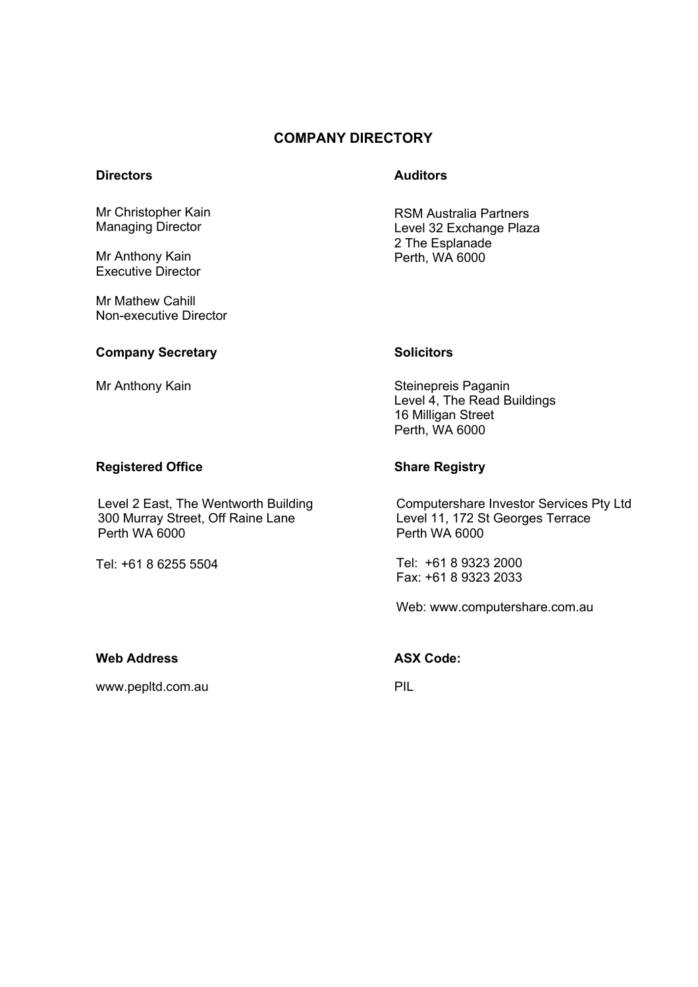# **COMPANY DIRECTORY**

### **Directors Auditors**

RSM Australia Partners Level 32 Exchange Plaza 2 The Esplanade Perth, WA 6000

Mr Mathew Cahill Non-executive Director

Mr Christopher Kain Managing Director

Mr Anthony Kain Executive Director

#### **Company Secretary Solicitors Solicitors**

#### **Registered Office Share Registry**

Level 2 East, The Wentworth Building 300 Murray Street, Off Raine Lane Perth WA 6000

Tel: +61 8 6255 5504

Mr Anthony Kain Steinepreis Paganin Level 4, The Read Buildings 16 Milligan Street Perth, WA 6000

Computershare Investor Services Pty Ltd Level 11, 172 St Georges Terrace Perth WA 6000

Tel: +61 8 9323 2000 Fax: +61 8 9323 2033

Web: www.computershare.com.au

### **Web Address ASX Code:**

www.pepltd.com.au PIL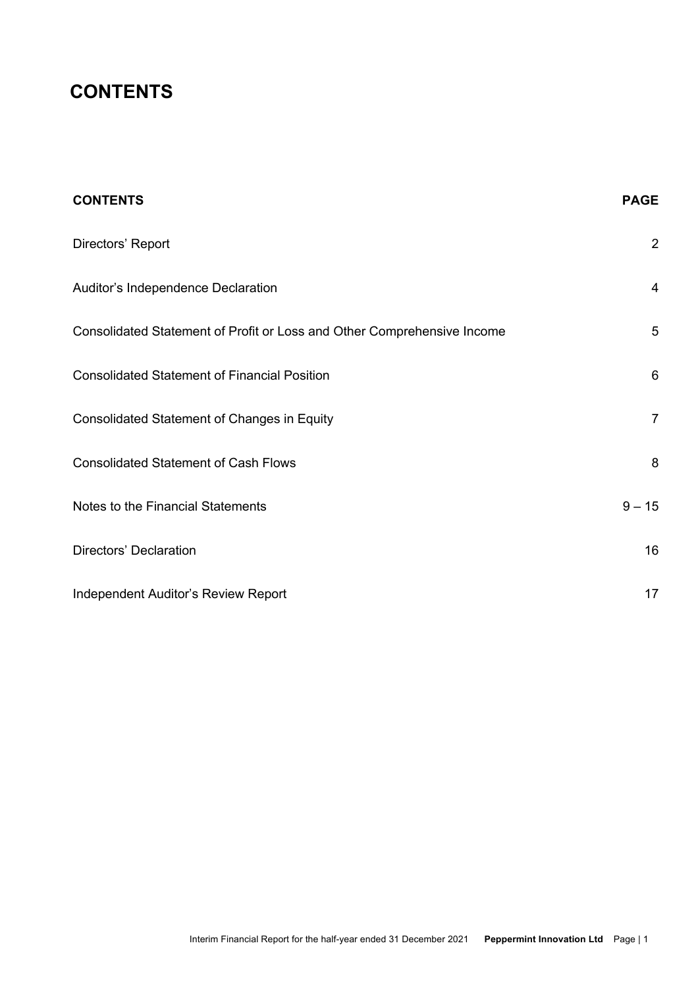# **CONTENTS**

| <b>CONTENTS</b>                                                         | <b>PAGE</b>             |
|-------------------------------------------------------------------------|-------------------------|
| Directors' Report                                                       | $\boldsymbol{2}$        |
| Auditor's Independence Declaration                                      | $\overline{\mathbf{4}}$ |
| Consolidated Statement of Profit or Loss and Other Comprehensive Income | 5                       |
| <b>Consolidated Statement of Financial Position</b>                     | $\,6\,$                 |
| Consolidated Statement of Changes in Equity                             | $\overline{7}$          |
| <b>Consolidated Statement of Cash Flows</b>                             | 8                       |
| Notes to the Financial Statements                                       | $9 - 15$                |
| Directors' Declaration                                                  | 16                      |
| Independent Auditor's Review Report                                     | 17                      |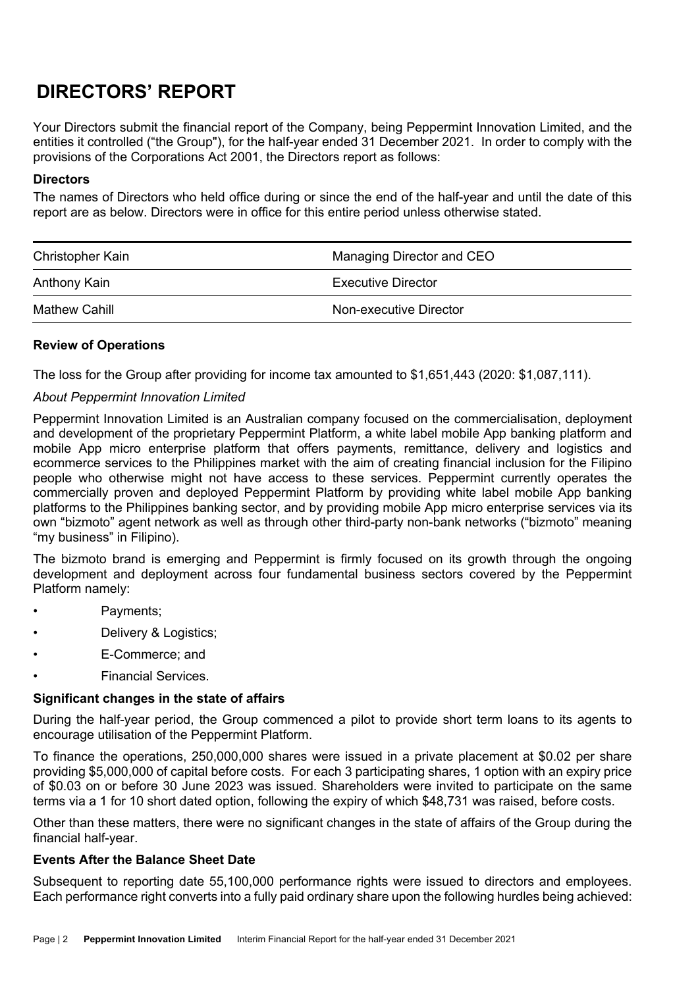# **DIRECTORS' REPORT**

Your Directors submit the financial report of the Company, being Peppermint Innovation Limited, and the entities it controlled ("the Group"), for the half-year ended 31 December 2021. In order to comply with the provisions of the Corporations Act 2001, the Directors report as follows:

### **Directors**

The names of Directors who held office during or since the end of the half-year and until the date of this report are as below. Directors were in office for this entire period unless otherwise stated.

| Christopher Kain     | Managing Director and CEO |
|----------------------|---------------------------|
| Anthony Kain         | Executive Director        |
| <b>Mathew Cahill</b> | Non-executive Director    |

### **Review of Operations**

The loss for the Group after providing for income tax amounted to \$1,651,443 (2020: \$1,087,111).

## *About Peppermint Innovation Limited*

Peppermint Innovation Limited is an Australian company focused on the commercialisation, deployment and development of the proprietary Peppermint Platform, a white label mobile App banking platform and mobile App micro enterprise platform that offers payments, remittance, delivery and logistics and ecommerce services to the Philippines market with the aim of creating financial inclusion for the Filipino people who otherwise might not have access to these services. Peppermint currently operates the commercially proven and deployed Peppermint Platform by providing white label mobile App banking platforms to the Philippines banking sector, and by providing mobile App micro enterprise services via its own "bizmoto" agent network as well as through other third-party non-bank networks ("bizmoto" meaning "my business" in Filipino).

The bizmoto brand is emerging and Peppermint is firmly focused on its growth through the ongoing development and deployment across four fundamental business sectors covered by the Peppermint Platform namely:

- Payments;
- Delivery & Logistics;
- E-Commerce; and
- Financial Services.

#### **Significant changes in the state of affairs**

During the half-year period, the Group commenced a pilot to provide short term loans to its agents to encourage utilisation of the Peppermint Platform.

To finance the operations, 250,000,000 shares were issued in a private placement at \$0.02 per share providing \$5,000,000 of capital before costs. For each 3 participating shares, 1 option with an expiry price of \$0.03 on or before 30 June 2023 was issued. Shareholders were invited to participate on the same terms via a 1 for 10 short dated option, following the expiry of which \$48,731 was raised, before costs.

Other than these matters, there were no significant changes in the state of affairs of the Group during the financial half-year.

#### **Events After the Balance Sheet Date**

Subsequent to reporting date 55,100,000 performance rights were issued to directors and employees. Each performance right converts into a fully paid ordinary share upon the following hurdles being achieved: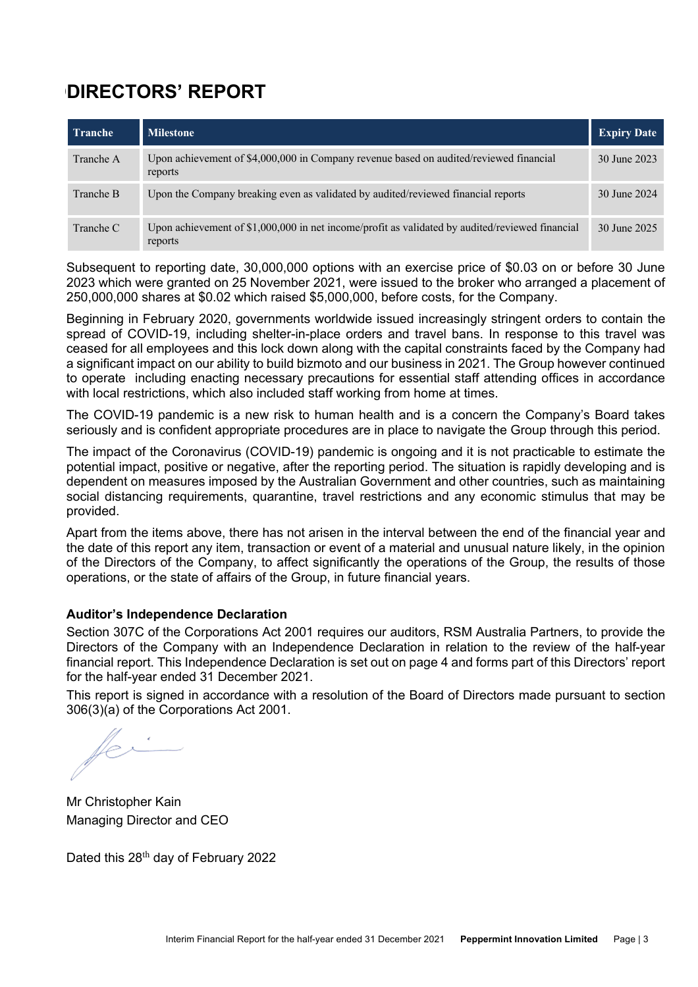# **DDIRECTORS' REPORT**

| <b>Tranche</b> | <b>Milestone</b>                                                                                           | <b>Expiry Date</b> |
|----------------|------------------------------------------------------------------------------------------------------------|--------------------|
| Tranche A      | Upon achievement of \$4,000,000 in Company revenue based on audited/reviewed financial<br>reports          | 30 June 2023       |
| Tranche B      | Upon the Company breaking even as validated by audited/reviewed financial reports                          | 30 June 2024       |
| Tranche C      | Upon achievement of \$1,000,000 in net income/profit as validated by audited/reviewed financial<br>reports | 30 June 2025       |

Subsequent to reporting date, 30,000,000 options with an exercise price of \$0.03 on or before 30 June 2023 which were granted on 25 November 2021, were issued to the broker who arranged a placement of 250,000,000 shares at \$0.02 which raised \$5,000,000, before costs, for the Company.

Beginning in February 2020, governments worldwide issued increasingly stringent orders to contain the spread of COVID-19, including shelter-in-place orders and travel bans. In response to this travel was ceased for all employees and this lock down along with the capital constraints faced by the Company had a significant impact on our ability to build bizmoto and our business in 2021. The Group however continued to operate including enacting necessary precautions for essential staff attending offices in accordance with local restrictions, which also included staff working from home at times.

The COVID-19 pandemic is a new risk to human health and is a concern the Company's Board takes seriously and is confident appropriate procedures are in place to navigate the Group through this period.

The impact of the Coronavirus (COVID-19) pandemic is ongoing and it is not practicable to estimate the potential impact, positive or negative, after the reporting period. The situation is rapidly developing and is dependent on measures imposed by the Australian Government and other countries, such as maintaining social distancing requirements, quarantine, travel restrictions and any economic stimulus that may be provided.

Apart from the items above, there has not arisen in the interval between the end of the financial year and the date of this report any item, transaction or event of a material and unusual nature likely, in the opinion of the Directors of the Company, to affect significantly the operations of the Group, the results of those operations, or the state of affairs of the Group, in future financial years.

## **Auditor's Independence Declaration**

Section 307C of the Corporations Act 2001 requires our auditors, RSM Australia Partners, to provide the Directors of the Company with an Independence Declaration in relation to the review of the half-year financial report. This Independence Declaration is set out on page 4 and forms part of this Directors' report for the half-year ended 31 December 2021.

This report is signed in accordance with a resolution of the Board of Directors made pursuant to section 306(3)(a) of the Corporations Act 2001.

Mr Christopher Kain Managing Director and CEO

Dated this 28<sup>th</sup> day of February 2022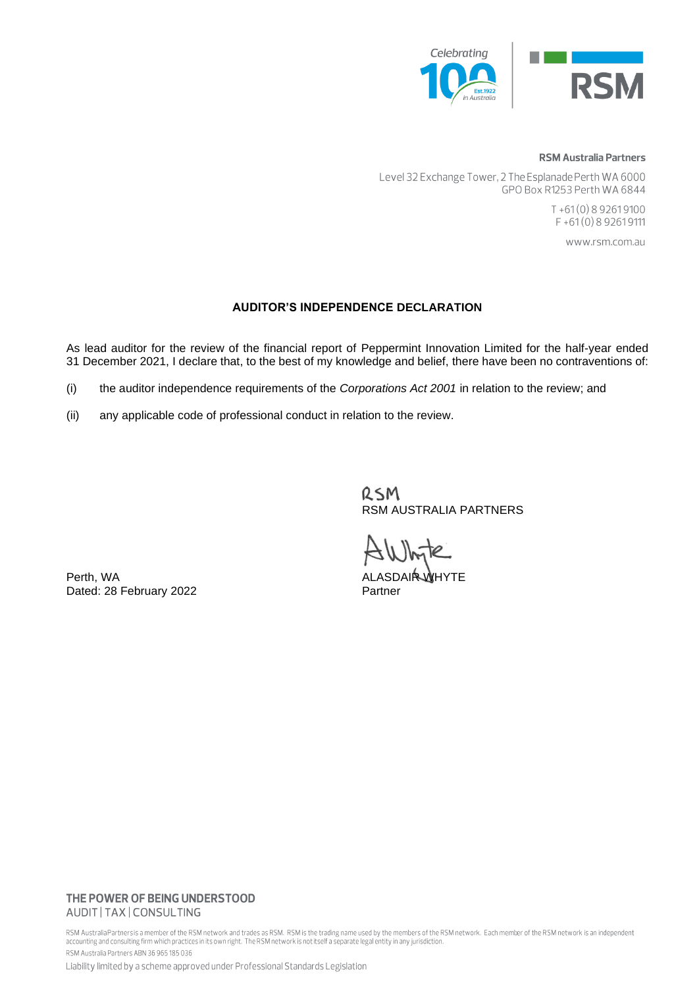

#### **RSM Australia Partners**

Level 32 Exchange Tower, 2 The Esplanade Perth WA 6000 GPO Box R1253 Perth WA 6844

> $T + 61(0)892619100$ F+61(0)892619111

> > www.rsm.com.au

#### **AUDITOR'S INDEPENDENCE DECLARATION**

As lead auditor for the review of the financial report of Peppermint Innovation Limited for the half-year ended 31 December 2021, I declare that, to the best of my knowledge and belief, there have been no contraventions of:

- (i) the auditor independence requirements of the *Corporations Act 2001* in relation to the review; and
- (ii) any applicable code of professional conduct in relation to the review.

RSM RSM AUSTRALIA PARTNERS

Perth, WA ALASDAIR WHYTE Dated: 28 February 2022

#### THE POWER OF BEING UNDERSTOOD AUDIT | TAX | CONSULTING

RSM Australia Partners is a member of the RSM network and trades as RSM. RSM is the trading name used by the members of the RSM network. Each member of the RSM network is an independent accounting and consulting firm which practices in its own right. The RSM network is not itself a separate legal entity in any jurisdiction. RSM Australia Partners ABN 36 965 185 036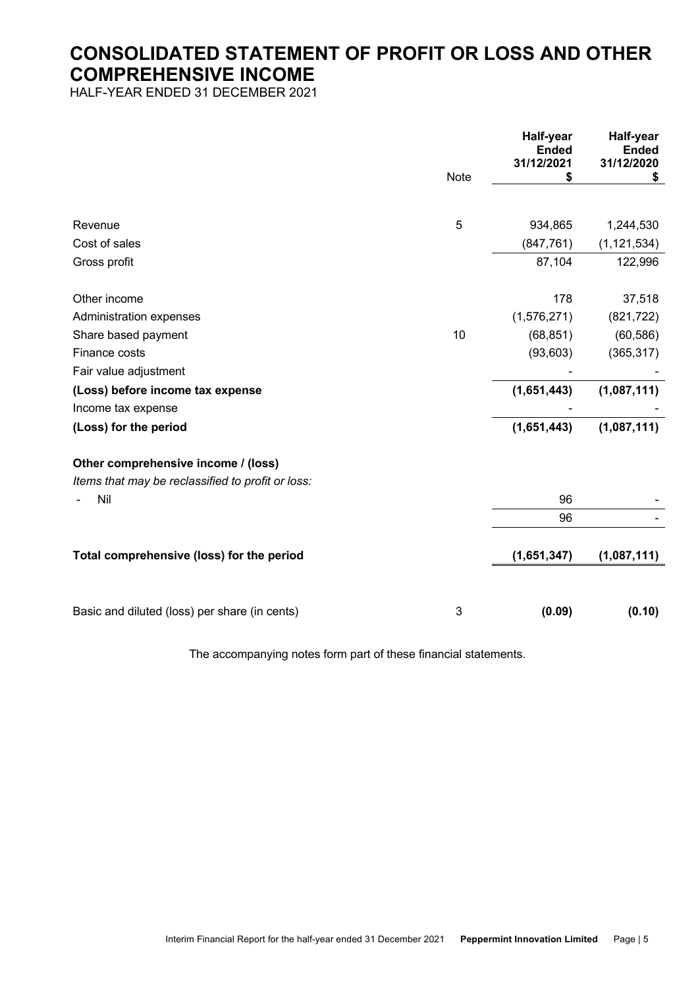# **CONSOLIDATED STATEMENT OF PROFIT OR LOSS AND OTHER COMPREHENSIVE INCOME**

HALF-YEAR ENDED 31 DECEMBER 2021

|                                                   | Note | Half-year<br><b>Ended</b><br>31/12/2021 | Half-year<br><b>Ended</b><br>31/12/2020<br>\$ |
|---------------------------------------------------|------|-----------------------------------------|-----------------------------------------------|
|                                                   |      |                                         |                                               |
| Revenue                                           | 5    | 934,865                                 | 1,244,530                                     |
| Cost of sales                                     |      | (847, 761)                              | (1, 121, 534)                                 |
| Gross profit                                      |      | 87,104                                  | 122,996                                       |
| Other income                                      |      | 178                                     | 37,518                                        |
| Administration expenses                           |      | (1,576,271)                             | (821, 722)                                    |
| Share based payment                               | 10   | (68, 851)                               | (60, 586)                                     |
| Finance costs                                     |      | (93, 603)                               | (365, 317)                                    |
| Fair value adjustment                             |      |                                         |                                               |
| (Loss) before income tax expense                  |      | (1,651,443)                             | (1,087,111)                                   |
| Income tax expense                                |      |                                         |                                               |
| (Loss) for the period                             |      | (1,651,443)                             | (1,087,111)                                   |
| Other comprehensive income / (loss)               |      |                                         |                                               |
| Items that may be reclassified to profit or loss: |      |                                         |                                               |
| Nil                                               |      | 96                                      |                                               |
|                                                   |      | 96                                      |                                               |
|                                                   |      |                                         |                                               |
| Total comprehensive (loss) for the period         |      | (1,651,347)                             | (1,087,111)                                   |
|                                                   |      |                                         |                                               |
| Basic and diluted (loss) per share (in cents)     | 3    | (0.09)                                  | (0.10)                                        |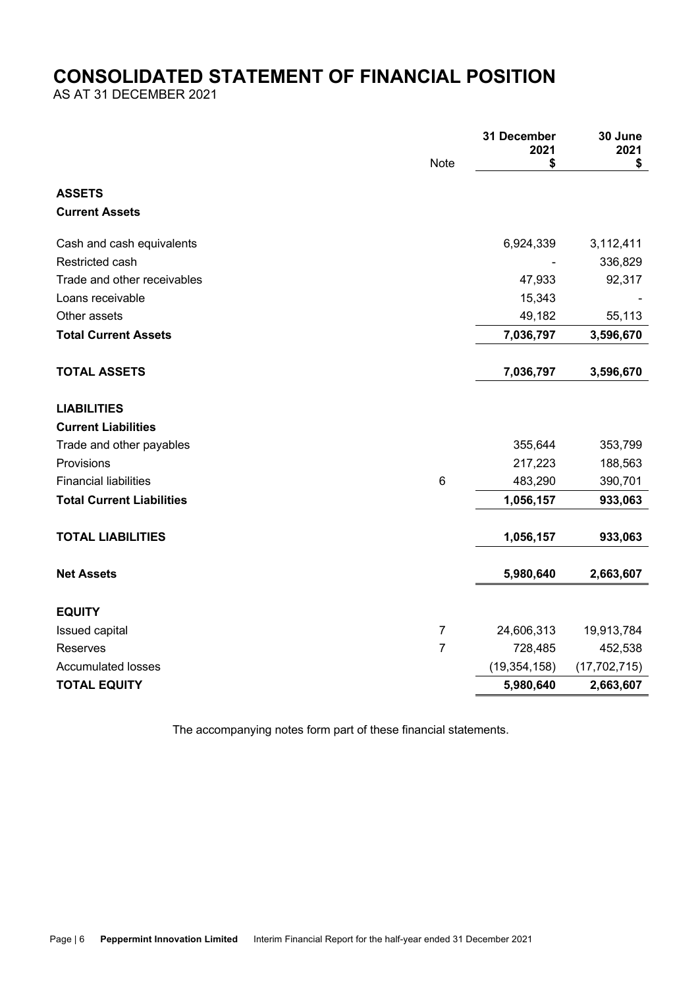# **CONSOLIDATED STATEMENT OF FINANCIAL POSITION**

AS AT 31 DECEMBER 2021

|                                  |                | 31 December<br>2021 | 30 June<br>2021 |
|----------------------------------|----------------|---------------------|-----------------|
|                                  | <b>Note</b>    | \$                  | \$              |
| <b>ASSETS</b>                    |                |                     |                 |
| <b>Current Assets</b>            |                |                     |                 |
| Cash and cash equivalents        |                | 6,924,339           | 3,112,411       |
| Restricted cash                  |                |                     | 336,829         |
| Trade and other receivables      |                | 47,933              | 92,317          |
| Loans receivable                 |                | 15,343              |                 |
| Other assets                     |                | 49,182              | 55,113          |
| <b>Total Current Assets</b>      |                | 7,036,797           | 3,596,670       |
| <b>TOTAL ASSETS</b>              |                | 7,036,797           | 3,596,670       |
|                                  |                |                     |                 |
| <b>LIABILITIES</b>               |                |                     |                 |
| <b>Current Liabilities</b>       |                |                     |                 |
| Trade and other payables         |                | 355,644             | 353,799         |
| Provisions                       |                | 217,223             | 188,563         |
| <b>Financial liabilities</b>     | 6              | 483,290             | 390,701         |
| <b>Total Current Liabilities</b> |                | 1,056,157           | 933,063         |
| <b>TOTAL LIABILITIES</b>         |                | 1,056,157           | 933,063         |
|                                  |                |                     |                 |
| <b>Net Assets</b>                |                | 5,980,640           | 2,663,607       |
| <b>EQUITY</b>                    |                |                     |                 |
| Issued capital                   | $\overline{7}$ | 24,606,313          | 19,913,784      |
| <b>Reserves</b>                  | $\overline{7}$ | 728,485             | 452,538         |
| <b>Accumulated losses</b>        |                | (19, 354, 158)      | (17, 702, 715)  |
| <b>TOTAL EQUITY</b>              |                | 5,980,640           | 2,663,607       |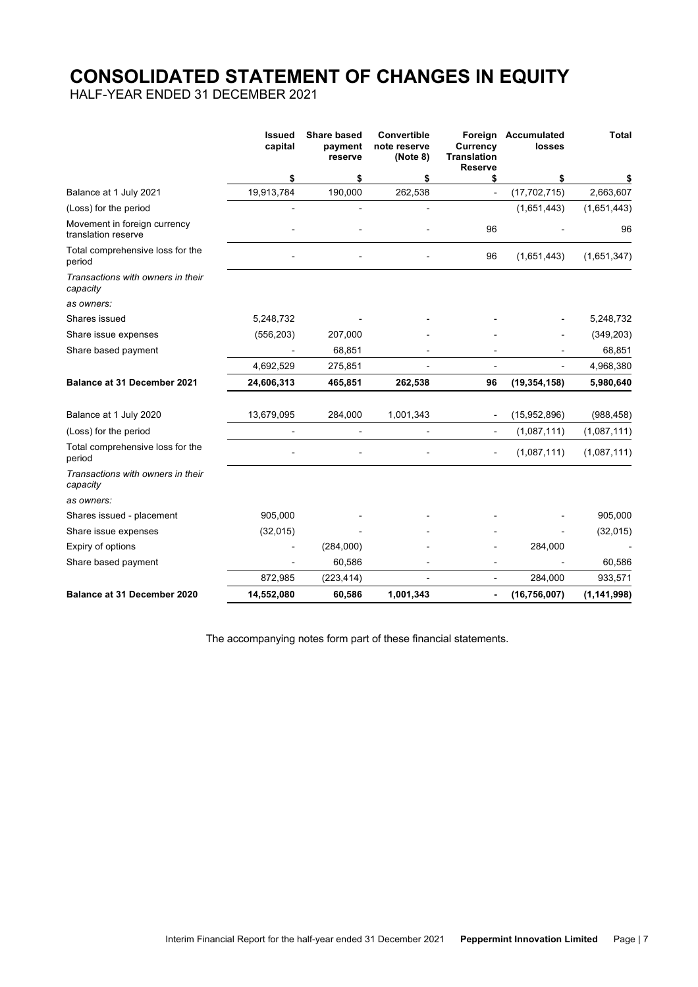# **CONSOLIDATED STATEMENT OF CHANGES IN EQUITY**

HALF-YEAR ENDED 31 DECEMBER 2021

|                                                     | <b>Issued</b><br>capital | <b>Share based</b><br>payment<br>reserve | Convertible<br>note reserve<br>(Note 8) | <b>Currency</b><br><b>Translation</b><br><b>Reserve</b> | Foreign Accumulated<br>losses | <b>Total</b>  |
|-----------------------------------------------------|--------------------------|------------------------------------------|-----------------------------------------|---------------------------------------------------------|-------------------------------|---------------|
|                                                     | \$                       | \$                                       | \$                                      | \$                                                      | \$                            | \$            |
| Balance at 1 July 2021                              | 19,913,784               | 190,000                                  | 262,538                                 | $\frac{1}{2}$                                           | (17, 702, 715)                | 2,663,607     |
| (Loss) for the period                               |                          |                                          |                                         |                                                         | (1,651,443)                   | (1,651,443)   |
| Movement in foreign currency<br>translation reserve |                          |                                          |                                         | 96                                                      |                               | 96            |
| Total comprehensive loss for the<br>period          |                          |                                          |                                         | 96                                                      | (1,651,443)                   | (1,651,347)   |
| Transactions with owners in their<br>capacity       |                          |                                          |                                         |                                                         |                               |               |
| as owners:                                          |                          |                                          |                                         |                                                         |                               |               |
| Shares issued                                       | 5,248,732                |                                          |                                         |                                                         |                               | 5,248,732     |
| Share issue expenses                                | (556, 203)               | 207,000                                  |                                         |                                                         |                               | (349, 203)    |
| Share based payment                                 |                          | 68,851                                   |                                         |                                                         |                               | 68,851        |
|                                                     | 4,692,529                | 275,851                                  |                                         | Ĭ.                                                      |                               | 4,968,380     |
| <b>Balance at 31 December 2021</b>                  | 24,606,313               | 465,851                                  | 262,538                                 | 96                                                      | (19, 354, 158)                | 5,980,640     |
| Balance at 1 July 2020                              | 13,679,095               | 284,000                                  | 1,001,343                               | $\overline{\phantom{a}}$                                | (15,952,896)                  | (988, 458)    |
| (Loss) for the period                               |                          |                                          |                                         | Ĭ.                                                      | (1,087,111)                   | (1,087,111)   |
| Total comprehensive loss for the<br>period          |                          |                                          |                                         | $\overline{a}$                                          | (1,087,111)                   | (1,087,111)   |
| Transactions with owners in their<br>capacity       |                          |                                          |                                         |                                                         |                               |               |
| as owners:                                          |                          |                                          |                                         |                                                         |                               |               |
| Shares issued - placement                           | 905,000                  |                                          |                                         |                                                         |                               | 905,000       |
| Share issue expenses                                | (32,015)                 |                                          |                                         |                                                         |                               | (32,015)      |
| Expiry of options                                   |                          | (284,000)                                |                                         |                                                         | 284,000                       |               |
| Share based payment                                 |                          | 60,586                                   |                                         |                                                         |                               | 60,586        |
|                                                     | 872,985                  | (223, 414)                               |                                         | L,                                                      | 284,000                       | 933,571       |
| <b>Balance at 31 December 2020</b>                  | 14,552,080               | 60,586                                   | 1,001,343                               | ۰                                                       | (16, 756, 007)                | (1, 141, 998) |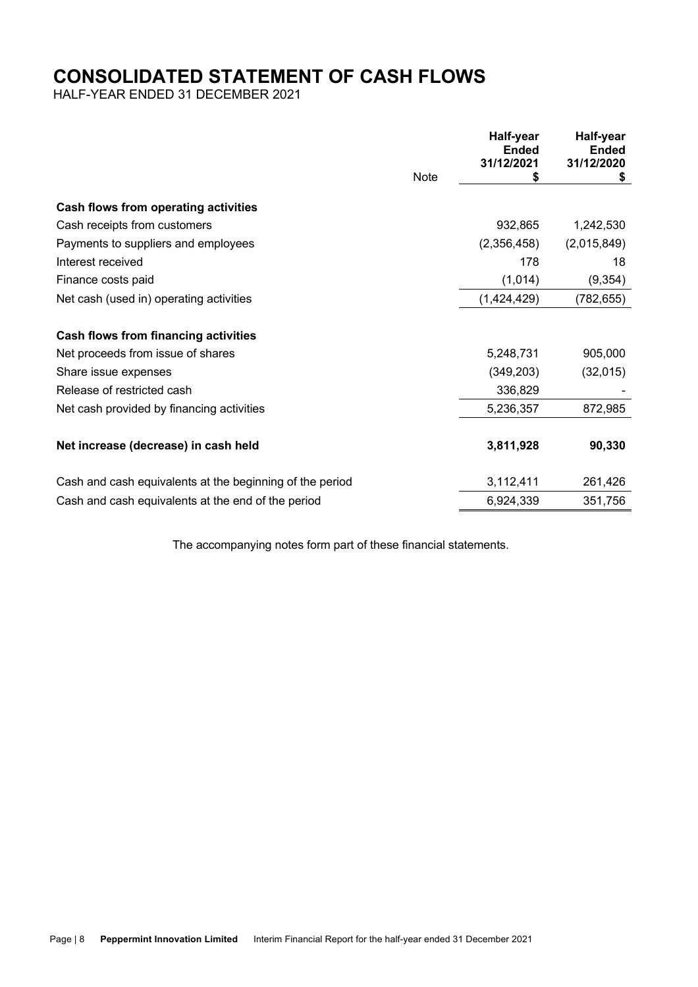# **CONSOLIDATED STATEMENT OF CASH FLOWS**

HALF-YEAR ENDED 31 DECEMBER 2021

|                                                          |      | Half-year<br><b>Ended</b><br>31/12/2021 | Half-year<br><b>Ended</b><br>31/12/2020 |
|----------------------------------------------------------|------|-----------------------------------------|-----------------------------------------|
|                                                          | Note | S                                       | \$                                      |
| <b>Cash flows from operating activities</b>              |      |                                         |                                         |
| Cash receipts from customers                             |      | 932,865                                 | 1,242,530                               |
| Payments to suppliers and employees                      |      | (2,356,458)                             | (2,015,849)                             |
| Interest received                                        |      | 178                                     | 18                                      |
| Finance costs paid                                       |      | (1,014)                                 | (9, 354)                                |
| Net cash (used in) operating activities                  |      | (1,424,429)                             | (782, 655)                              |
| <b>Cash flows from financing activities</b>              |      |                                         |                                         |
| Net proceeds from issue of shares                        |      | 5,248,731                               | 905,000                                 |
| Share issue expenses                                     |      | (349, 203)                              | (32,015)                                |
| Release of restricted cash                               |      | 336,829                                 |                                         |
| Net cash provided by financing activities                |      | 5,236,357                               | 872,985                                 |
| Net increase (decrease) in cash held                     |      | 3,811,928                               | 90,330                                  |
| Cash and cash equivalents at the beginning of the period |      | 3,112,411                               | 261,426                                 |
| Cash and cash equivalents at the end of the period       |      | 6,924,339                               | 351,756                                 |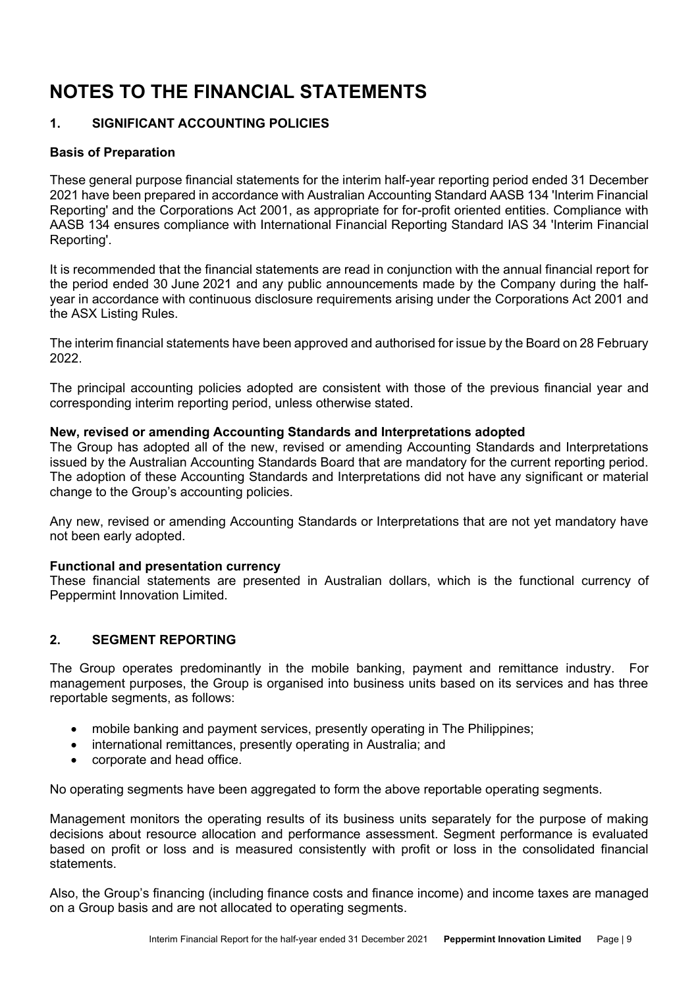# **1. SIGNIFICANT ACCOUNTING POLICIES**

# **Basis of Preparation**

These general purpose financial statements for the interim half-year reporting period ended 31 December 2021 have been prepared in accordance with Australian Accounting Standard AASB 134 'Interim Financial Reporting' and the Corporations Act 2001, as appropriate for for-profit oriented entities. Compliance with AASB 134 ensures compliance with International Financial Reporting Standard IAS 34 'Interim Financial Reporting'.

It is recommended that the financial statements are read in conjunction with the annual financial report for the period ended 30 June 2021 and any public announcements made by the Company during the halfyear in accordance with continuous disclosure requirements arising under the Corporations Act 2001 and the ASX Listing Rules.

The interim financial statements have been approved and authorised for issue by the Board on 28 February 2022.

The principal accounting policies adopted are consistent with those of the previous financial year and corresponding interim reporting period, unless otherwise stated.

## **New, revised or amending Accounting Standards and Interpretations adopted**

The Group has adopted all of the new, revised or amending Accounting Standards and Interpretations issued by the Australian Accounting Standards Board that are mandatory for the current reporting period. The adoption of these Accounting Standards and Interpretations did not have any significant or material change to the Group's accounting policies.

Any new, revised or amending Accounting Standards or Interpretations that are not yet mandatory have not been early adopted.

## **Functional and presentation currency**

These financial statements are presented in Australian dollars, which is the functional currency of Peppermint Innovation Limited.

## **2. SEGMENT REPORTING**

The Group operates predominantly in the mobile banking, payment and remittance industry. For management purposes, the Group is organised into business units based on its services and has three reportable segments, as follows:

- mobile banking and payment services, presently operating in The Philippines;
- international remittances, presently operating in Australia; and
- corporate and head office.

No operating segments have been aggregated to form the above reportable operating segments.

Management monitors the operating results of its business units separately for the purpose of making decisions about resource allocation and performance assessment. Segment performance is evaluated based on profit or loss and is measured consistently with profit or loss in the consolidated financial statements.

Also, the Group's financing (including finance costs and finance income) and income taxes are managed on a Group basis and are not allocated to operating segments.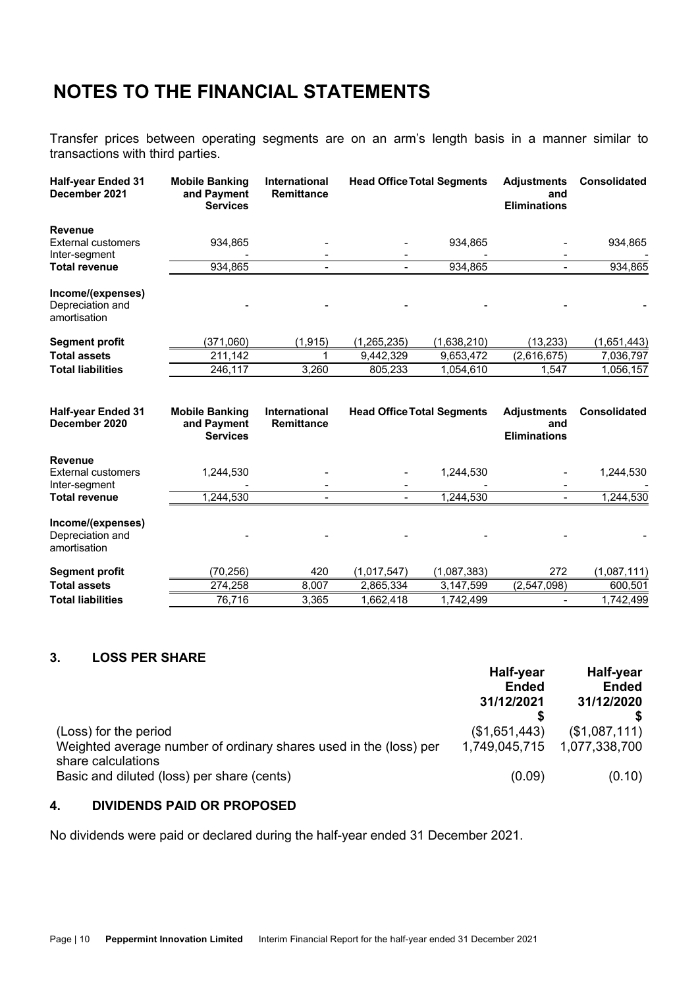Transfer prices between operating segments are on an arm's length basis in a manner similar to transactions with third parties.

| <b>Half-year Ended 31</b><br>December 2021                   | <b>Mobile Banking</b><br>and Payment<br><b>Services</b> | <b>International</b><br><b>Remittance</b> | <b>Head Office Total Segments</b> |             | <b>Adjustments</b><br>and<br><b>Eliminations</b> | <b>Consolidated</b> |
|--------------------------------------------------------------|---------------------------------------------------------|-------------------------------------------|-----------------------------------|-------------|--------------------------------------------------|---------------------|
| <b>Revenue</b><br><b>External customers</b><br>Inter-segment | 934,865                                                 |                                           |                                   | 934,865     |                                                  | 934,865             |
| <b>Total revenue</b>                                         | 934,865                                                 |                                           |                                   | 934,865     |                                                  | 934,865             |
| Income/(expenses)<br>Depreciation and<br>amortisation        |                                                         |                                           |                                   |             |                                                  |                     |
| <b>Segment profit</b>                                        | (371,060)                                               | (1, 915)                                  | (1, 265, 235)                     | (1,638,210) | (13, 233)                                        | (1,651,443)         |
| <b>Total assets</b>                                          | 211,142                                                 |                                           | 9,442,329                         | 9,653,472   | (2,616,675)                                      | 7,036,797           |
| <b>Total liabilities</b>                                     | 246,117                                                 | 3,260                                     | 805,233                           | 1,054,610   | 1,547                                            | 1,056,157           |
| <b>Half-year Ended 31</b><br>December 2020                   | <b>Mobile Banking</b><br>and Payment<br><b>Services</b> | <b>International</b><br><b>Remittance</b> | <b>Head Office Total Segments</b> |             | <b>Adjustments</b><br>and<br><b>Eliminations</b> | <b>Consolidated</b> |
| <b>Revenue</b><br><b>External customers</b><br>Inter-segment | 1,244,530                                               |                                           |                                   | 1,244,530   |                                                  | 1,244,530           |
| <b>Total revenue</b>                                         | 1,244,530                                               |                                           |                                   | 1,244,530   |                                                  | 1,244,530           |
| Income/(expenses)<br>Depreciation and<br>amortisation        |                                                         |                                           |                                   |             |                                                  |                     |
| <b>Segment profit</b>                                        | (70, 256)                                               | 420                                       | (1,017,547)                       | (1,087,383) | 272                                              | (1,087,111)         |
| <b>Total assets</b>                                          |                                                         |                                           |                                   |             |                                                  |                     |
|                                                              | 274,258                                                 | 8,007                                     | 2,865,334                         | 3,147,599   | (2,547,098)                                      | 600,501             |

# **3. LOSS PER SHARE**

|                                                                                                                  | Half-year<br><b>Ended</b><br>31/12/2021 | Half-year<br><b>Ended</b><br>31/12/2020 |
|------------------------------------------------------------------------------------------------------------------|-----------------------------------------|-----------------------------------------|
| (Loss) for the period<br>Weighted average number of ordinary shares used in the (loss) per<br>share calculations | (\$1,651,443)<br>1,749,045,715          | (\$1,087,111)<br>1,077,338,700          |
| Basic and diluted (loss) per share (cents)                                                                       | (0.09)                                  | (0.10)                                  |

# **4. DIVIDENDS PAID OR PROPOSED**

No dividends were paid or declared during the half-year ended 31 December 2021.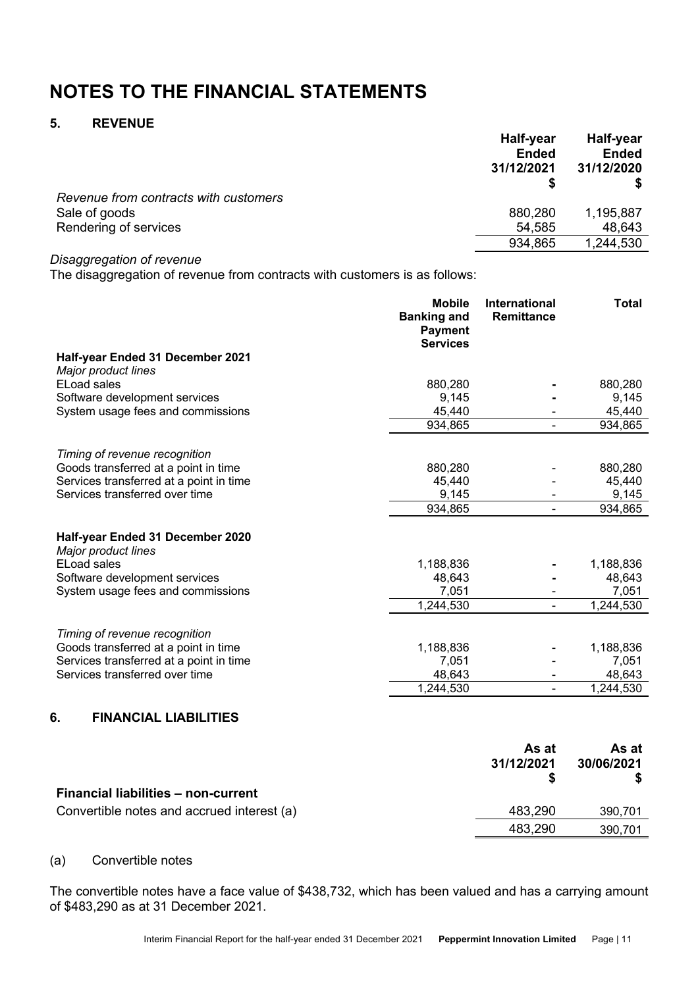# **5. REVENUE**

|                                       | Half-year<br><b>Ended</b><br>31/12/2021 | Half-year<br><b>Ended</b><br>31/12/2020 |
|---------------------------------------|-----------------------------------------|-----------------------------------------|
| Revenue from contracts with customers |                                         |                                         |
| Sale of goods                         | 880,280                                 | 1,195,887                               |
| Rendering of services                 | 54,585                                  | 48,643                                  |
|                                       | 934,865                                 | 1,244,530                               |
|                                       |                                         |                                         |

### *Disaggregation of revenue*

The disaggregation of revenue from contracts with customers is as follows:

|                                                         | <b>Mobile</b><br><b>Banking and</b><br><b>Payment</b><br><b>Services</b> | <b>International</b><br><b>Remittance</b> | <b>Total</b> |
|---------------------------------------------------------|--------------------------------------------------------------------------|-------------------------------------------|--------------|
| Half-year Ended 31 December 2021<br>Major product lines |                                                                          |                                           |              |
| <b>ELoad sales</b>                                      | 880,280                                                                  |                                           | 880,280      |
| Software development services                           | 9,145                                                                    |                                           | 9,145        |
| System usage fees and commissions                       | 45,440                                                                   |                                           | 45,440       |
|                                                         | 934,865                                                                  |                                           | 934,865      |
| Timing of revenue recognition                           |                                                                          |                                           |              |
| Goods transferred at a point in time                    | 880,280                                                                  |                                           | 880,280      |
| Services transferred at a point in time                 | 45,440                                                                   |                                           | 45,440       |
| Services transferred over time                          | 9,145                                                                    |                                           | 9,145        |
|                                                         | 934,865                                                                  |                                           | 934,865      |
| Half-year Ended 31 December 2020<br>Major product lines |                                                                          |                                           |              |
| ELoad sales                                             | 1,188,836                                                                |                                           | 1,188,836    |
| Software development services                           | 48,643                                                                   |                                           | 48,643       |
| System usage fees and commissions                       | 7,051                                                                    |                                           | 7,051        |
|                                                         | 1,244,530                                                                |                                           | 1,244,530    |
| Timing of revenue recognition                           |                                                                          |                                           |              |
| Goods transferred at a point in time                    | 1,188,836                                                                |                                           | 1,188,836    |
| Services transferred at a point in time                 | 7,051                                                                    |                                           | 7,051        |
| Services transferred over time                          | 48,643                                                                   |                                           | 48,643       |
|                                                         | 1,244,530                                                                |                                           | 1,244,530    |
|                                                         |                                                                          |                                           |              |

## **6. FINANCIAL LIABILITIES**

|                                            | As at<br>31/12/2021 | As at<br>30/06/2021 |
|--------------------------------------------|---------------------|---------------------|
| <b>Financial liabilities - non-current</b> |                     |                     |
| Convertible notes and accrued interest (a) | 483,290             | 390,701             |
|                                            | 483.290             | 390,701             |

## (a) Convertible notes

The convertible notes have a face value of \$438,732, which has been valued and has a carrying amount of \$483,290 as at 31 December 2021.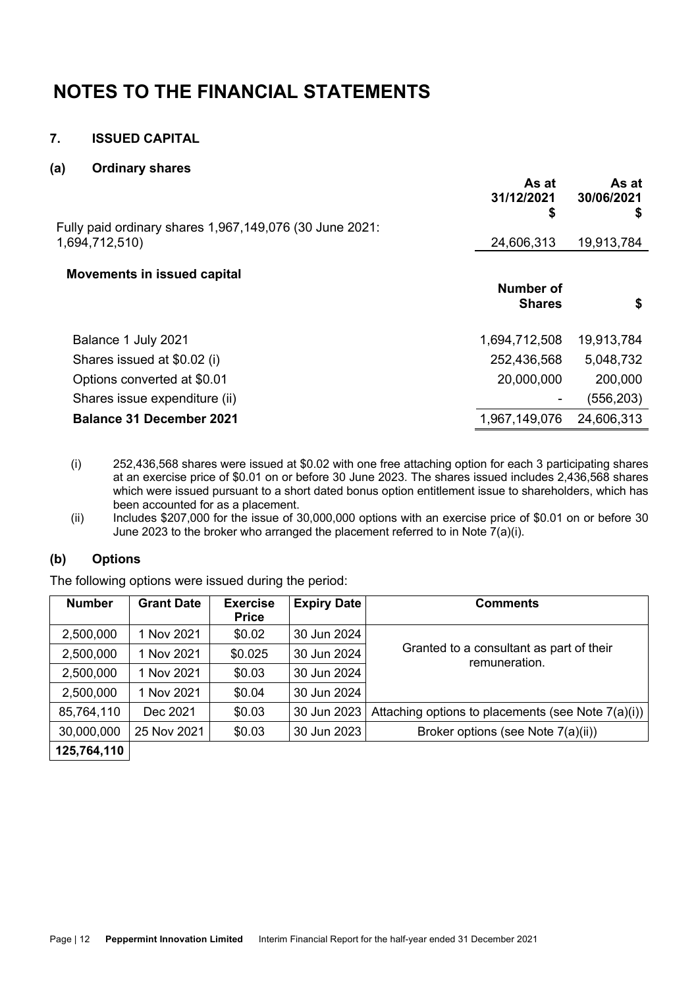# **7. ISSUED CAPITAL**

### **(a) Ordinary shares**

|                                                                           | As at<br>31/12/2021<br>\$  | As at<br>30/06/2021<br>\$ |
|---------------------------------------------------------------------------|----------------------------|---------------------------|
| Fully paid ordinary shares 1,967,149,076 (30 June 2021:<br>1,694,712,510) | 24,606,313                 | 19,913,784                |
|                                                                           |                            |                           |
| <b>Movements in issued capital</b>                                        | Number of<br><b>Shares</b> | S                         |
| Balance 1 July 2021                                                       | 1,694,712,508              | 19,913,784                |
| Shares issued at \$0.02 (i)                                               | 252,436,568                | 5,048,732                 |
| Options converted at \$0.01                                               | 20,000,000                 | 200,000                   |
| Shares issue expenditure (ii)                                             |                            | (556, 203)                |
| <b>Balance 31 December 2021</b>                                           | 1,967,149,076              | 24,606,313                |

- (i) 252,436,568 shares were issued at \$0.02 with one free attaching option for each 3 participating shares at an exercise price of \$0.01 on or before 30 June 2023. The shares issued includes 2,436,568 shares which were issued pursuant to a short dated bonus option entitlement issue to shareholders, which has been accounted for as a placement.
- (ii) Includes \$207,000 for the issue of 30,000,000 options with an exercise price of \$0.01 on or before 30 June 2023 to the broker who arranged the placement referred to in Note 7(a)(i).

## **(b) Options**

The following options were issued during the period:

| <b>Number</b> | <b>Grant Date</b> | <b>Exercise</b> | <b>Expiry Date</b> | <b>Comments</b>                                           |
|---------------|-------------------|-----------------|--------------------|-----------------------------------------------------------|
|               |                   | <b>Price</b>    |                    |                                                           |
| 2,500,000     | 1 Nov 2021        | \$0.02          | 30 Jun 2024        |                                                           |
| 2,500,000     | 1 Nov 2021        | \$0.025         | 30 Jun 2024        | Granted to a consultant as part of their<br>remuneration. |
| 2,500,000     | 1 Nov 2021        | \$0.03          | 30 Jun 2024        |                                                           |
| 2,500,000     | 1 Nov 2021        | \$0.04          | 30 Jun 2024        |                                                           |
| 85,764,110    | Dec 2021          | \$0.03          | 30 Jun 2023        | Attaching options to placements (see Note 7(a)(i))        |
| 30,000,000    | 25 Nov 2021       | \$0.03          | 30 Jun 2023        | Broker options (see Note 7(a)(ii))                        |
| 125,764,110   |                   |                 |                    |                                                           |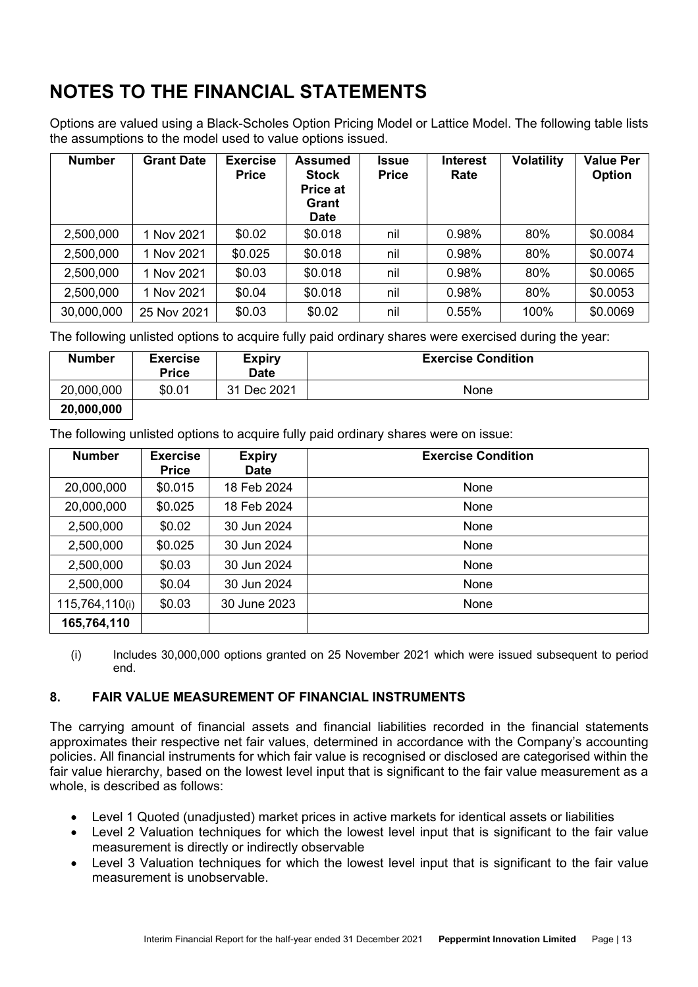Options are valued using a Black-Scholes Option Pricing Model or Lattice Model. The following table lists the assumptions to the model used to value options issued.

| <b>Number</b> | <b>Grant Date</b> | <b>Exercise</b><br><b>Price</b> | <b>Assumed</b><br><b>Stock</b><br>Price at<br>Grant<br><b>Date</b> | <b>Issue</b><br><b>Price</b> | <b>Interest</b><br>Rate | <b>Volatility</b> | <b>Value Per</b><br>Option |
|---------------|-------------------|---------------------------------|--------------------------------------------------------------------|------------------------------|-------------------------|-------------------|----------------------------|
| 2,500,000     | 1 Nov 2021        | \$0.02                          | \$0.018                                                            | nil                          | 0.98%                   | 80%               | \$0.0084                   |
| 2,500,000     | 1 Nov 2021        | \$0.025                         | \$0.018                                                            | nil                          | 0.98%                   | 80%               | \$0.0074                   |
| 2,500,000     | 1 Nov 2021        | \$0.03                          | \$0.018                                                            | nil                          | 0.98%                   | 80%               | \$0.0065                   |
| 2,500,000     | 1 Nov 2021        | \$0.04                          | \$0.018                                                            | nil                          | 0.98%                   | 80%               | \$0.0053                   |
| 30,000,000    | 25 Nov 2021       | \$0.03                          | \$0.02                                                             | nil                          | 0.55%                   | 100%              | \$0.0069                   |

The following unlisted options to acquire fully paid ordinary shares were exercised during the year:

| <b>Number</b> | <b>Exercise</b><br><b>Price</b> | <b>Expiry</b><br><b>Date</b> | <b>Exercise Condition</b> |
|---------------|---------------------------------|------------------------------|---------------------------|
| 20,000,000    | \$0.01                          | 31 Dec 2021                  | None                      |
| 20,000,000    |                                 |                              |                           |

The following unlisted options to acquire fully paid ordinary shares were on issue:

| <b>Number</b>  | <b>Exercise</b><br><b>Price</b> | <b>Expiry</b><br><b>Date</b> | <b>Exercise Condition</b> |
|----------------|---------------------------------|------------------------------|---------------------------|
| 20,000,000     | \$0.015                         | 18 Feb 2024                  | None                      |
| 20,000,000     | \$0.025                         | 18 Feb 2024                  | None                      |
| 2,500,000      | \$0.02                          | 30 Jun 2024                  | None                      |
| 2,500,000      | \$0.025                         | 30 Jun 2024                  | None                      |
| 2,500,000      | \$0.03                          | 30 Jun 2024                  | None                      |
| 2,500,000      | \$0.04                          | 30 Jun 2024                  | None                      |
| 115,764,110(i) | \$0.03                          | 30 June 2023                 | None                      |
| 165,764,110    |                                 |                              |                           |

(i) Includes 30,000,000 options granted on 25 November 2021 which were issued subsequent to period end.

# **8. FAIR VALUE MEASUREMENT OF FINANCIAL INSTRUMENTS**

The carrying amount of financial assets and financial liabilities recorded in the financial statements approximates their respective net fair values, determined in accordance with the Company's accounting policies. All financial instruments for which fair value is recognised or disclosed are categorised within the fair value hierarchy, based on the lowest level input that is significant to the fair value measurement as a whole, is described as follows:

- Level 1 Quoted (unadjusted) market prices in active markets for identical assets or liabilities
- Level 2 Valuation techniques for which the lowest level input that is significant to the fair value measurement is directly or indirectly observable
- Level 3 Valuation techniques for which the lowest level input that is significant to the fair value measurement is unobservable.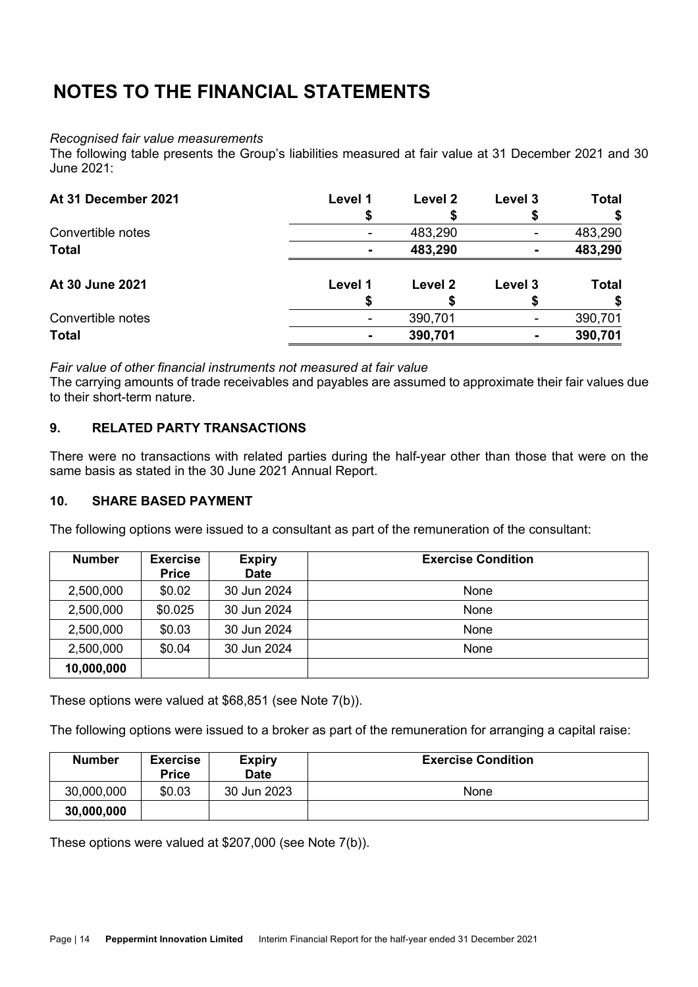### *Recognised fair value measurements*

The following table presents the Group's liabilities measured at fair value at 31 December 2021 and 30 June 2021:

| At 31 December 2021 | Level 1 | Level 2 | Level 3 | <b>Total</b> |
|---------------------|---------|---------|---------|--------------|
| Convertible notes   |         | 483,290 |         | 483,290      |
| <b>Total</b>        |         | 483,290 |         | 483,290      |
| At 30 June 2021     | Level 1 | Level 2 | Level 3 | Total        |
|                     |         |         |         |              |
| Convertible notes   |         | 390,701 |         | 390,701      |
| <b>Total</b>        |         | 390,701 |         | 390,701      |

*Fair value of other financial instruments not measured at fair value*

The carrying amounts of trade receivables and payables are assumed to approximate their fair values due to their short-term nature.

# **9. RELATED PARTY TRANSACTIONS**

There were no transactions with related parties during the half-year other than those that were on the same basis as stated in the 30 June 2021 Annual Report.

### **10. SHARE BASED PAYMENT**

The following options were issued to a consultant as part of the remuneration of the consultant:

| <b>Number</b> | <b>Exercise</b><br><b>Price</b> | <b>Expiry</b><br><b>Date</b> | <b>Exercise Condition</b> |
|---------------|---------------------------------|------------------------------|---------------------------|
| 2,500,000     | \$0.02                          | 30 Jun 2024                  | None                      |
| 2,500,000     | \$0.025                         | 30 Jun 2024                  | None                      |
| 2,500,000     | \$0.03                          | 30 Jun 2024                  | None                      |
| 2,500,000     | \$0.04                          | 30 Jun 2024                  | None                      |
| 10,000,000    |                                 |                              |                           |

These options were valued at \$68,851 (see Note 7(b)).

The following options were issued to a broker as part of the remuneration for arranging a capital raise:

| Number     | <b>Exercise</b><br><b>Price</b> | <b>Expiry</b><br><b>Date</b> | <b>Exercise Condition</b> |
|------------|---------------------------------|------------------------------|---------------------------|
| 30,000,000 | \$0.03                          | 30 Jun 2023                  | None                      |
| 30,000,000 |                                 |                              |                           |

These options were valued at \$207,000 (see Note 7(b)).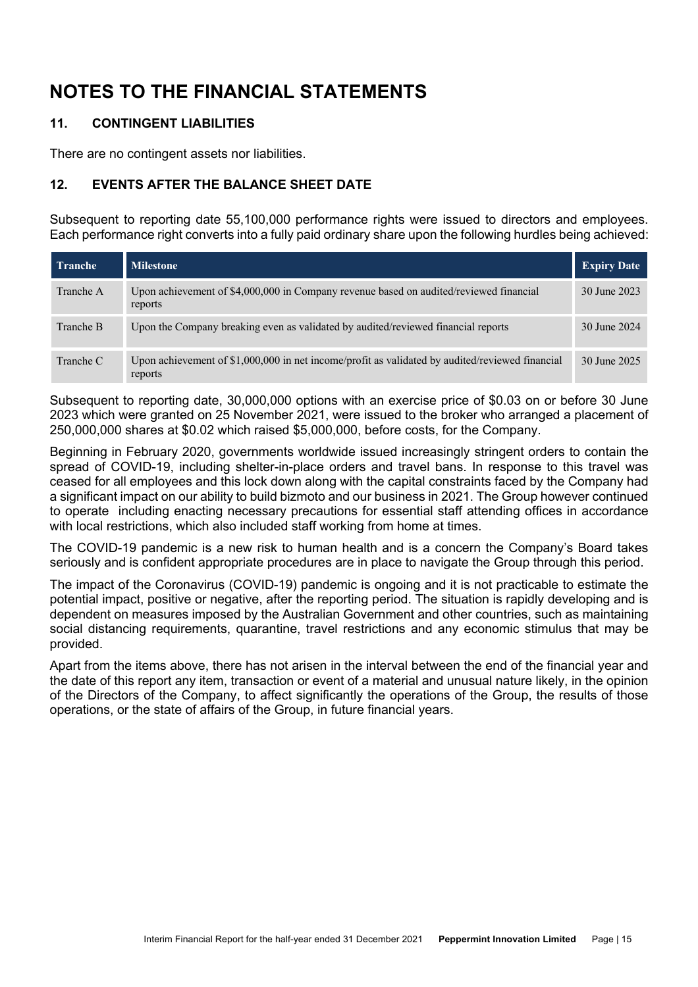# **11. CONTINGENT LIABILITIES**

There are no contingent assets nor liabilities.

# **12. EVENTS AFTER THE BALANCE SHEET DATE**

Subsequent to reporting date 55,100,000 performance rights were issued to directors and employees. Each performance right converts into a fully paid ordinary share upon the following hurdles being achieved:

| <b>Tranche</b> | <b>Milestone</b>                                                                                           | <b>Expiry Date</b> |
|----------------|------------------------------------------------------------------------------------------------------------|--------------------|
| Tranche A      | Upon achievement of \$4,000,000 in Company revenue based on audited/reviewed financial<br>reports          | 30 June 2023       |
| Tranche B      | Upon the Company breaking even as validated by audited/reviewed financial reports                          | 30 June 2024       |
| Tranche C      | Upon achievement of \$1,000,000 in net income/profit as validated by audited/reviewed financial<br>reports | 30 June 2025       |

Subsequent to reporting date, 30,000,000 options with an exercise price of \$0.03 on or before 30 June 2023 which were granted on 25 November 2021, were issued to the broker who arranged a placement of 250,000,000 shares at \$0.02 which raised \$5,000,000, before costs, for the Company.

Beginning in February 2020, governments worldwide issued increasingly stringent orders to contain the spread of COVID-19, including shelter-in-place orders and travel bans. In response to this travel was ceased for all employees and this lock down along with the capital constraints faced by the Company had a significant impact on our ability to build bizmoto and our business in 2021. The Group however continued to operate including enacting necessary precautions for essential staff attending offices in accordance with local restrictions, which also included staff working from home at times.

The COVID-19 pandemic is a new risk to human health and is a concern the Company's Board takes seriously and is confident appropriate procedures are in place to navigate the Group through this period.

The impact of the Coronavirus (COVID-19) pandemic is ongoing and it is not practicable to estimate the potential impact, positive or negative, after the reporting period. The situation is rapidly developing and is dependent on measures imposed by the Australian Government and other countries, such as maintaining social distancing requirements, quarantine, travel restrictions and any economic stimulus that may be provided.

Apart from the items above, there has not arisen in the interval between the end of the financial year and the date of this report any item, transaction or event of a material and unusual nature likely, in the opinion of the Directors of the Company, to affect significantly the operations of the Group, the results of those operations, or the state of affairs of the Group, in future financial years.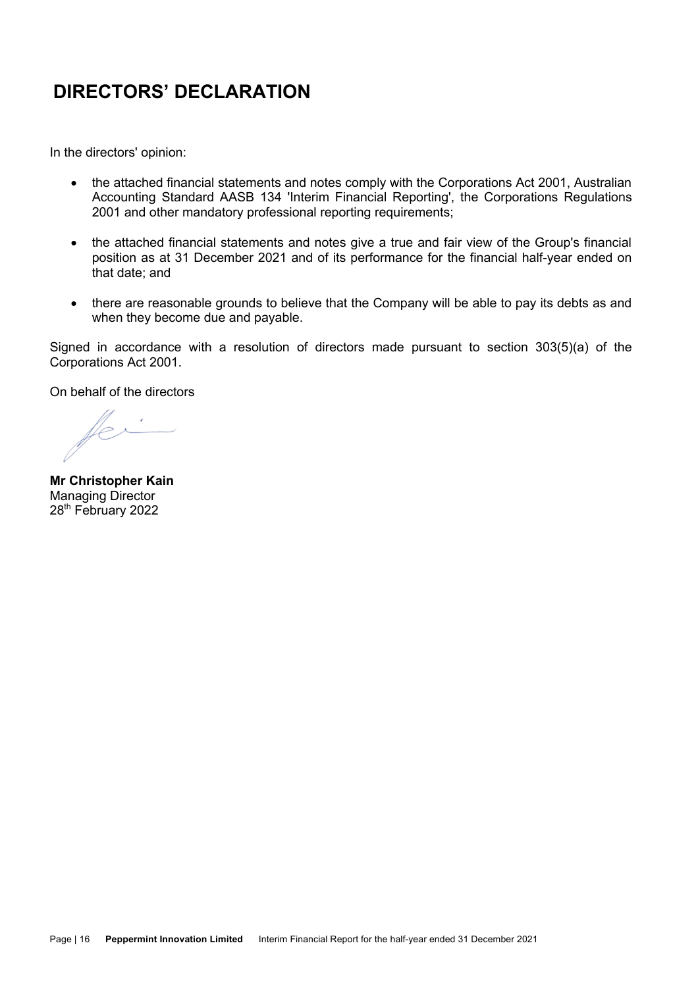# **DIRECTORS' DECLARATION**

In the directors' opinion:

- the attached financial statements and notes comply with the Corporations Act 2001, Australian Accounting Standard AASB 134 'Interim Financial Reporting', the Corporations Regulations 2001 and other mandatory professional reporting requirements;
- the attached financial statements and notes give a true and fair view of the Group's financial position as at 31 December 2021 and of its performance for the financial half-year ended on that date; and
- there are reasonable grounds to believe that the Company will be able to pay its debts as and when they become due and payable.

Signed in accordance with a resolution of directors made pursuant to section 303(5)(a) of the Corporations Act 2001.

On behalf of the directors

**Mr Christopher Kain** Managing Director 28<sup>th</sup> February 2022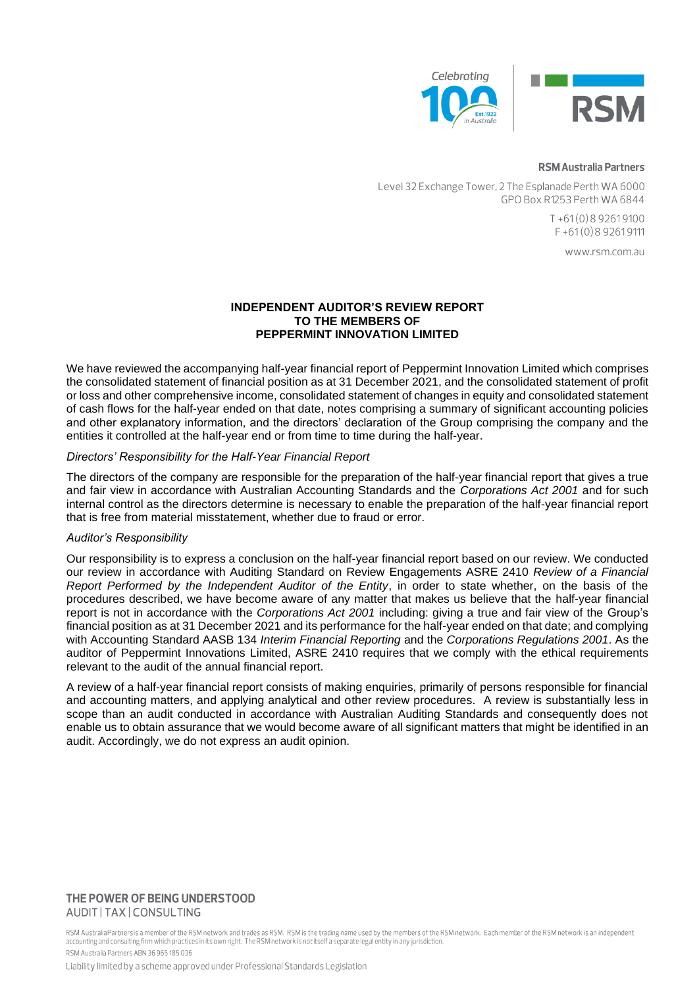

#### **RSM Australia Partners**

Level 32 Exchange Tower, 2 The Esplanade Perth WA 6000 GPO Box R1253 Perth WA 6844

> $T + 61(0)892619100$  $F + 61(0)892619111$

> > www.rsm.com.au

#### **INDEPENDENT AUDITOR'S REVIEW REPORT TO THE MEMBERS OF PEPPERMINT INNOVATION LIMITED**

We have reviewed the accompanying half-year financial report of Peppermint Innovation Limited which comprises the consolidated statement of financial position as at 31 December 2021, and the consolidated statement of profit or loss and other comprehensive income, consolidated statement of changes in equity and consolidated statement of cash flows for the half-year ended on that date, notes comprising a summary of significant accounting policies and other explanatory information, and the directors' declaration of the Group comprising the company and the entities it controlled at the half-year end or from time to time during the half-year.

#### *Directors' Responsibility for the Half-Year Financial Report*

The directors of the company are responsible for the preparation of the half-year financial report that gives a true and fair view in accordance with Australian Accounting Standards and the *Corporations Act 2001* and for such internal control as the directors determine is necessary to enable the preparation of the half-year financial report that is free from material misstatement, whether due to fraud or error.

#### *Auditor's Responsibility*

Our responsibility is to express a conclusion on the half-year financial report based on our review. We conducted our review in accordance with Auditing Standard on Review Engagements ASRE 2410 *Review of a Financial Report Performed by the Independent Auditor of the Entity*, in order to state whether, on the basis of the procedures described, we have become aware of any matter that makes us believe that the half-year financial report is not in accordance with the *Corporations Act 2001* including: giving a true and fair view of the Group's financial position as at 31 December 2021 and its performance for the half-year ended on that date; and complying with Accounting Standard AASB 134 *Interim Financial Reporting* and the *Corporations Regulations 2001*. As the auditor of Peppermint Innovations Limited, ASRE 2410 requires that we comply with the ethical requirements relevant to the audit of the annual financial report.

A review of a half-year financial report consists of making enquiries, primarily of persons responsible for financial and accounting matters, and applying analytical and other review procedures. A review is substantially less in scope than an audit conducted in accordance with Australian Auditing Standards and consequently does not enable us to obtain assurance that we would become aware of all significant matters that might be identified in an audit. Accordingly, we do not express an audit opinion.

#### THE POWER OF BEING UNDERSTOOD AUDIT | TAX | CONSULTING

RSM Australia Partners is a member of the RSM network and trades as RSM. RSM is the trading name used by the members of the RSM network. Each member of the RSM network is an independent accounting and consulting firm which practices in its own right. The RSM network is not itself a separate legal entity in any jurisdiction. RSM Australia Partners ARN 36 965 185 036